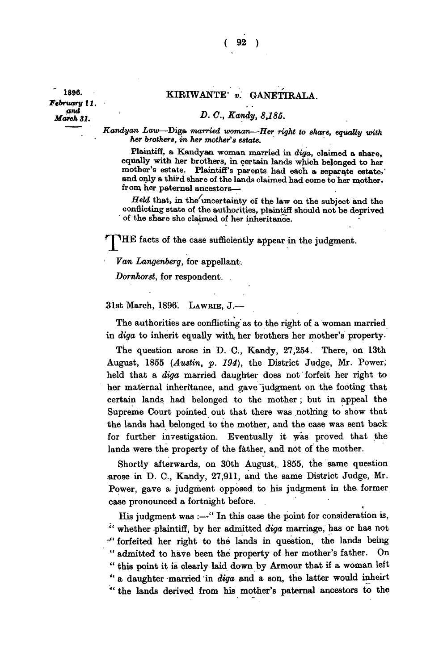**1896** *February* **II, -** *March* 31.

**r**

## **- KIRIWANTE"** *v.* **G ANETIR ALA.**

## *- <sup>C</sup>< Ka?dy, 8,185.*

*Kandyan Law***—Diga** *married woman—Her right to share, equally with her brothers, in her mother's estate.* 

**Plaintiff, a Kandyan woman married in** *diga,* **claimed a share, equally with her brothers, in certain lands which belonged to her mother's estate. Plaintiff's parents had each a separate estate,' and only a third share of the lands claimed had come to her mother, from her paternal ancestors—** 

*Held* **that, in the^uncertainty of the law on the subject and the conflicting state of the authorities, plaintiff should not be deprived ' of the share she claimed of her inheritance.** 

**HE** facts of the case sufficiently appear in the judgment.

*Van Langenberg,* **for appellant.** 

*Dornhorst,* **for respondent.** 

**31st March, 1896. LAWRIE , J.—** 

**The authorities are conflicting as to the right of a woman married in** *diga* **to inherit equally with her brothers her mother's property.** 

The question arose in D. C., Kandy, 27,254. There, on 13th **August, 1855** *(Austin, p. 194),* **the District Judge, Mr. Power, held that a** *diga* **married daughter does not forfeit her right to her maternal inheritance, and gave judgment on the footing that certain lands had belonged to the mother ; but in appeal the Supreme Court pointed out that there was nothing to show that the lands had belonged to the mother, and the case was sent back for further investigation. Eventually it was proved that the**  lands were the property of the father, and not of the mother.

**Shortly afterwards, on 30th August, 1855, the same question arose in D. C , Kandy, 27,911, and the same District Judge, Mr. Power, gave a judgment opposed to his judgment in the. former case pronounced a fortnight before.** 

**His judgment was :—" In this case the point for consideration is, " whether plaintiff, by her admitted** *diga* **marriage, has or has not -" forfeited her right to the lands in question, the lands being " admitted to have been the property of her mother's father. On " this point it is clearly laid down by Armour that if a woman left " a daughter married in** *diga* **and a son, the latter would inheirt " the lands derived from his mother's paternal ancestors to the**